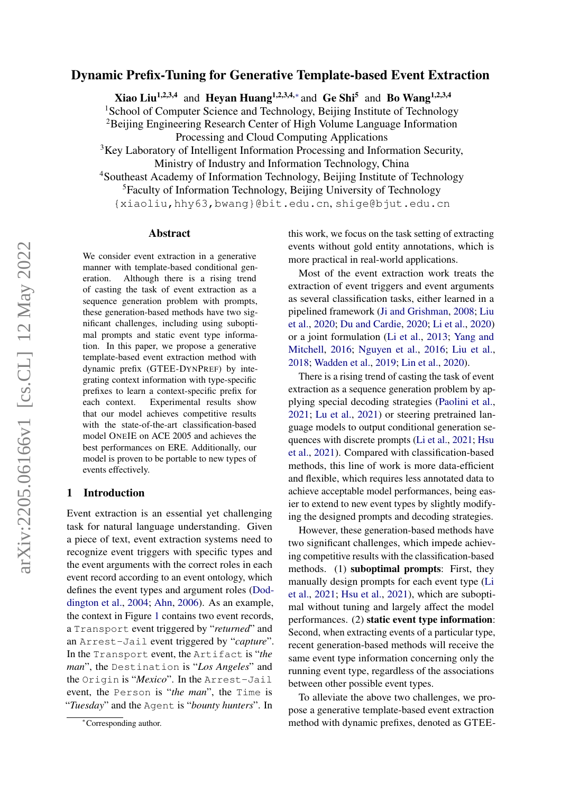# Dynamic Prefix-Tuning for Generative Template-based Event Extraction

**Xiao Liu<sup>1,2,3,4</sup>** and **Heyan Huang**<sup>1,2,3,4,\*</sup> and **Ge Shi**<sup>5</sup> and **Bo Wang**<sup>1,2,3,4</sup>

<sup>1</sup>School of Computer Science and Technology, Beijing Institute of Technology <sup>2</sup>Beijing Engineering Research Center of High Volume Language Information

Processing and Cloud Computing Applications

<sup>3</sup>Key Laboratory of Intelligent Information Processing and Information Security, Ministry of Industry and Information Technology, China

<sup>4</sup>Southeast Academy of Information Technology, Beijing Institute of Technology <sup>5</sup>Faculty of Information Technology, Beijing University of Technology {xiaoliu,hhy63,bwang}@bit.edu.cn, shige@bjut.edu.cn

#### Abstract

We consider event extraction in a generative manner with template-based conditional generation. Although there is a rising trend of casting the task of event extraction as a sequence generation problem with prompts, these generation-based methods have two significant challenges, including using suboptimal prompts and static event type information. In this paper, we propose a generative template-based event extraction method with dynamic prefix (GTEE-DYNPREF) by integrating context information with type-specific prefixes to learn a context-specific prefix for each context. Experimental results show that our model achieves competitive results with the state-of-the-art classification-based model ONEIE on ACE 2005 and achieves the best performances on ERE. Additionally, our model is proven to be portable to new types of events effectively.

## 1 Introduction

Event extraction is an essential yet challenging task for natural language understanding. Given a piece of text, event extraction systems need to recognize event triggers with specific types and the event arguments with the correct roles in each event record according to an event ontology, which defines the event types and argument roles [\(Dod](#page-9-0)[dington et al.,](#page-9-0) [2004;](#page-9-0) [Ahn,](#page-8-0) [2006\)](#page-8-0). As an example, the context in Figure [1](#page-1-0) contains two event records, a Transport event triggered by "*returned*" and an Arrest-Jail event triggered by "*capture*". In the Transport event, the Artifact is "*the man*", the Destination is "*Los Angeles*" and the Origin is "*Mexico*". In the Arrest-Jail event, the Person is "*the man*", the Time is "*Tuesday*" and the Agent is "*bounty hunters*". In

this work, we focus on the task setting of extracting events without gold entity annotations, which is more practical in real-world applications.

Most of the event extraction work treats the extraction of event triggers and event arguments as several classification tasks, either learned in a pipelined framework [\(Ji and Grishman,](#page-9-1) [2008;](#page-9-1) [Liu](#page-9-2) [et al.,](#page-9-2) [2020;](#page-9-2) [Du and Cardie,](#page-9-3) [2020;](#page-9-3) [Li et al.,](#page-9-4) [2020\)](#page-9-4) or a joint formulation [\(Li et al.,](#page-9-5) [2013;](#page-9-5) [Yang and](#page-11-0) [Mitchell,](#page-11-0) [2016;](#page-11-0) [Nguyen et al.,](#page-10-0) [2016;](#page-10-0) [Liu et al.,](#page-10-1) [2018;](#page-10-1) [Wadden et al.,](#page-11-1) [2019;](#page-11-1) [Lin et al.,](#page-9-6) [2020\)](#page-9-6).

There is a rising trend of casting the task of event extraction as a sequence generation problem by applying special decoding strategies [\(Paolini et al.,](#page-10-2) [2021;](#page-10-2) [Lu et al.,](#page-10-3) [2021\)](#page-10-3) or steering pretrained language models to output conditional generation sequences with discrete prompts [\(Li et al.,](#page-9-7) [2021;](#page-9-7) [Hsu](#page-9-8) [et al.,](#page-9-8) [2021\)](#page-9-8). Compared with classification-based methods, this line of work is more data-efficient and flexible, which requires less annotated data to achieve acceptable model performances, being easier to extend to new event types by slightly modifying the designed prompts and decoding strategies.

However, these generation-based methods have two significant challenges, which impede achieving competitive results with the classification-based methods. (1) suboptimal prompts: First, they manually design prompts for each event type [\(Li](#page-9-7) [et al.,](#page-9-7) [2021;](#page-9-7) [Hsu et al.,](#page-9-8) [2021\)](#page-9-8), which are suboptimal without tuning and largely affect the model performances. (2) static event type information: Second, when extracting events of a particular type, recent generation-based methods will receive the same event type information concerning only the running event type, regardless of the associations between other possible event types.

To alleviate the above two challenges, we propose a generative template-based event extraction method with dynamic prefixes, denoted as GTEE-

<sup>∗</sup>Corresponding author.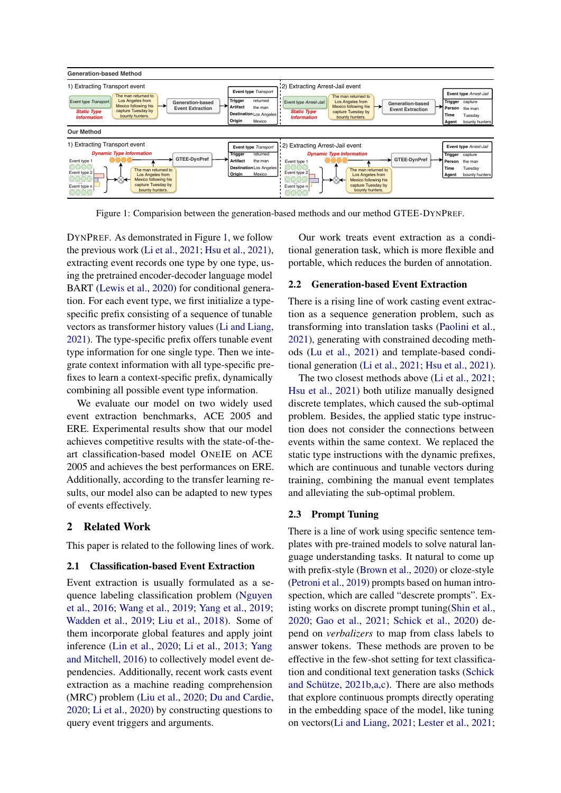<span id="page-1-0"></span>

Figure 1: Comparision between the generation-based methods and our method GTEE-DYNPREF.

DYNPREF. As demonstrated in Figure [1,](#page-1-0) we follow the previous work [\(Li et al.,](#page-9-7) [2021;](#page-9-7) [Hsu et al.,](#page-9-8) [2021\)](#page-9-8), extracting event records one type by one type, using the pretrained encoder-decoder language model BART [\(Lewis et al.,](#page-9-9) [2020\)](#page-9-9) for conditional generation. For each event type, we first initialize a typespecific prefix consisting of a sequence of tunable vectors as transformer history values [\(Li and Liang,](#page-9-10) [2021\)](#page-9-10). The type-specific prefix offers tunable event type information for one single type. Then we integrate context information with all type-specific prefixes to learn a context-specific prefix, dynamically combining all possible event type information.

We evaluate our model on two widely used event extraction benchmarks, ACE 2005 and ERE. Experimental results show that our model achieves competitive results with the state-of-theart classification-based model ONEIE on ACE 2005 and achieves the best performances on ERE. Additionally, according to the transfer learning results, our model also can be adapted to new types of events effectively.

# 2 Related Work

This paper is related to the following lines of work.

### 2.1 Classification-based Event Extraction

Event extraction is usually formulated as a sequence labeling classification problem [\(Nguyen](#page-10-0) [et al.,](#page-10-0) [2016;](#page-10-0) [Wang et al.,](#page-11-2) [2019;](#page-11-2) [Yang et al.,](#page-11-3) [2019;](#page-11-3) [Wadden et al.,](#page-11-1) [2019;](#page-11-1) [Liu et al.,](#page-10-1) [2018\)](#page-10-1). Some of them incorporate global features and apply joint inference [\(Lin et al.,](#page-9-6) [2020;](#page-9-6) [Li et al.,](#page-9-5) [2013;](#page-9-5) [Yang](#page-11-0) [and Mitchell,](#page-11-0) [2016\)](#page-11-0) to collectively model event dependencies. Additionally, recent work casts event extraction as a machine reading comprehension (MRC) problem [\(Liu et al.,](#page-9-2) [2020;](#page-9-2) [Du and Cardie,](#page-9-3) [2020;](#page-9-3) [Li et al.,](#page-9-4) [2020\)](#page-9-4) by constructing questions to query event triggers and arguments.

Our work treats event extraction as a conditional generation task, which is more flexible and portable, which reduces the burden of annotation.

## 2.2 Generation-based Event Extraction

There is a rising line of work casting event extraction as a sequence generation problem, such as transforming into translation tasks [\(Paolini et al.,](#page-10-2) [2021\)](#page-10-2), generating with constrained decoding methods [\(Lu et al.,](#page-10-3) [2021\)](#page-10-3) and template-based conditional generation [\(Li et al.,](#page-9-7) [2021;](#page-9-7) [Hsu et al.,](#page-9-8) [2021\)](#page-9-8).

The two closest methods above [\(Li et al.,](#page-9-7) [2021;](#page-9-7) [Hsu et al.,](#page-9-8) [2021\)](#page-9-8) both utilize manually designed discrete templates, which caused the sub-optimal problem. Besides, the applied static type instruction does not consider the connections between events within the same context. We replaced the static type instructions with the dynamic prefixes, which are continuous and tunable vectors during training, combining the manual event templates and alleviating the sub-optimal problem.

## 2.3 Prompt Tuning

There is a line of work using specific sentence templates with pre-trained models to solve natural language understanding tasks. It natural to come up with prefix-style [\(Brown et al.,](#page-8-1) [2020\)](#page-8-1) or cloze-style [\(Petroni et al.,](#page-10-4) [2019\)](#page-10-4) prompts based on human introspection, which are called "descrete prompts". Existing works on discrete prompt tuning[\(Shin et al.,](#page-10-5) [2020;](#page-10-5) [Gao et al.,](#page-9-11) [2021;](#page-9-11) [Schick et al.,](#page-10-6) [2020\)](#page-10-6) depend on *verbalizers* to map from class labels to answer tokens. These methods are proven to be effective in the few-shot setting for text classification and conditional text generation tasks [\(Schick](#page-10-7) [and Schütze,](#page-10-7) [2021b,](#page-10-7)[a,](#page-10-8)[c\)](#page-10-9). There are also methods that explore continuous prompts directly operating in the embedding space of the model, like tuning on vectors[\(Li and Liang,](#page-9-10) [2021;](#page-9-10) [Lester et al.,](#page-9-12) [2021;](#page-9-12)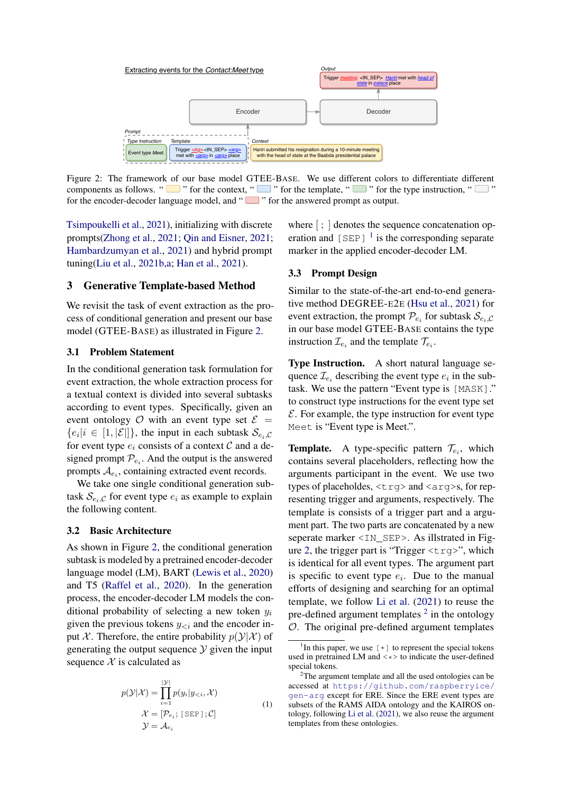<span id="page-2-0"></span>

Figure 2: The framework of our base model GTEE-BASE. We use different colors to differentiate different components as follows. " $\Box$ " for the context, " $\Box$ " for the template, " $\Box$ " for the type instruction, " $\Box$ " for the encoder-decoder language model, and " we for the answered prompt as output.

[Tsimpoukelli et al.,](#page-10-10) [2021\)](#page-10-10), initializing with discrete prompts[\(Zhong et al.,](#page-11-4) [2021;](#page-11-4) [Qin and Eisner,](#page-10-11) [2021;](#page-10-11) [Hambardzumyan et al.,](#page-9-13) [2021\)](#page-9-13) and hybrid prompt tuning[\(Liu et al.,](#page-10-12) [2021b](#page-10-12)[,a;](#page-10-13) [Han et al.,](#page-9-14) [2021\)](#page-9-14).

# 3 Generative Template-based Method

We revisit the task of event extraction as the process of conditional generation and present our base model (GTEE-BASE) as illustrated in Figure [2.](#page-2-0)

## 3.1 Problem Statement

In the conditional generation task formulation for event extraction, the whole extraction process for a textual context is divided into several subtasks according to event types. Specifically, given an event ontology  $\mathcal O$  with an event type set  $\mathcal E$  =  ${e_i | i \in [1, |\mathcal{E}|]},$  the input in each subtask  $\mathcal{S}_{e_i,\mathcal{C}}$ for event type  $e_i$  consists of a context C and a designed prompt  $\mathcal{P}_{e_i}$ . And the output is the answered prompts  $A_{e_i}$ , containing extracted event records.

We take one single conditional generation subtask  $S_{e_i,C}$  for event type  $e_i$  as example to explain the following content.

#### 3.2 Basic Architecture

As shown in Figure [2,](#page-2-0) the conditional generation subtask is modeled by a pretrained encoder-decoder language model (LM), BART [\(Lewis et al.,](#page-9-9) [2020\)](#page-9-9) and T5 [\(Raffel et al.,](#page-10-14) [2020\)](#page-10-14). In the generation process, the encoder-decoder LM models the conditional probability of selecting a new token  $y_i$ given the previous tokens  $y_{\leq i}$  and the encoder input X. Therefore, the entire probability  $p(\mathcal{Y}|\mathcal{X})$  of generating the output sequence  $\mathcal Y$  given the input sequence  $X$  is calculated as

$$
p(\mathcal{Y}|\mathcal{X}) = \prod_{i=1}^{|\mathcal{Y}|} p(y_i|y_{< i}, \mathcal{X})
$$
  

$$
\mathcal{X} = [\mathcal{P}_{e_i}; \text{[SEP]}; \mathcal{C}]
$$
  

$$
\mathcal{Y} = \mathcal{A}_{e_i}
$$
 (1)

where  $\lceil \cdot \rceil$  denotes the sequence concatenation operation and  $[SEP]$ <sup>[1](#page-2-1)</sup> is the corresponding separate marker in the applied encoder-decoder LM.

#### 3.3 Prompt Design

Similar to the state-of-the-art end-to-end generative method DEGREE-E2E [\(Hsu et al.,](#page-9-8) [2021\)](#page-9-8) for event extraction, the prompt  $\mathcal{P}_{e_i}$  for subtask  $\mathcal{S}_{e_i,\mathcal{C}}$ in our base model GTEE-BASE contains the type instruction  $\mathcal{I}_{e_i}$  and the template  $\mathcal{T}_{e_i}$ .

Type Instruction. A short natural language sequence  $\mathcal{I}_{e_i}$  describing the event type  $e_i$  in the subtask. We use the pattern "Event type is [MASK]." to construct type instructions for the event type set  $\mathcal E$ . For example, the type instruction for event type Meet is "Event type is Meet.".

**Template.** A type-specific pattern  $\mathcal{T}_{e_i}$ , which contains several placeholders, reflecting how the arguments participant in the event. We use two types of placeholdes,  $\langle \text{trg} \rangle$  and  $\langle \text{arg} \rangle$ s, for representing trigger and arguments, respectively. The template is consists of a trigger part and a argument part. The two parts are concatenated by a new seperate marker <IN\_SEP>. As illstrated in Fig-ure [2,](#page-2-0) the trigger part is "Trigger  $\langle \text{trg} \rangle$ ", which is identical for all event types. The argument part is specific to event type  $e_i$ . Due to the manual efforts of designing and searching for an optimal template, we follow [Li et al.](#page-9-7) [\(2021\)](#page-9-7) to reuse the pre-defined argument templates  $2$  in the ontology O. The original pre-defined argument templates

<span id="page-2-1"></span><sup>&</sup>lt;sup>1</sup>In this paper, we use  $[\star]$  to represent the special tokens used in pretrained LM and  $\langle * \rangle$  to indicate the user-defined special tokens.

<span id="page-2-2"></span><sup>&</sup>lt;sup>2</sup>The argument template and all the used ontologies can be accessed at [https://github.com/raspberryice/](https://github.com/raspberryice/gen-arg) [gen-arg](https://github.com/raspberryice/gen-arg) except for ERE. Since the ERE event types are subsets of the RAMS AIDA ontology and the KAIROS ontology, following [Li et al.](#page-9-7) [\(2021\)](#page-9-7), we also reuse the argument templates from these ontologies.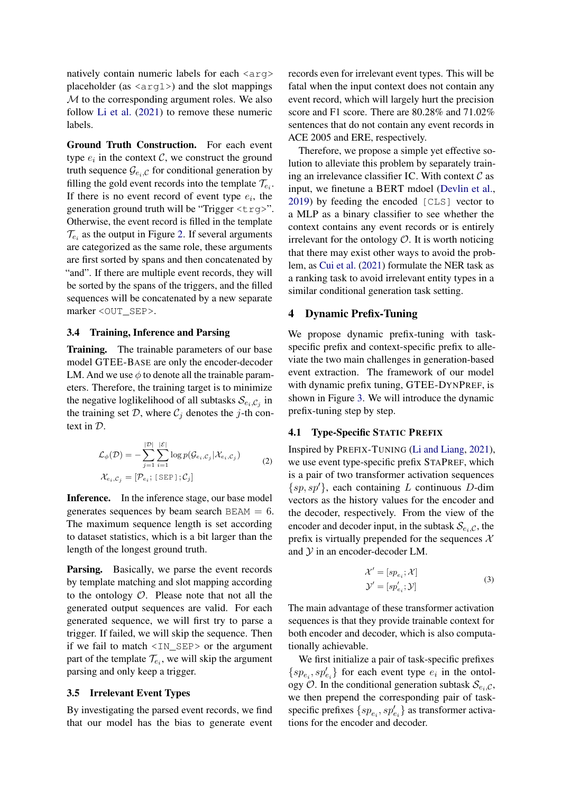natively contain numeric labels for each  $\langle \text{arg} \rangle$ placeholder (as  $\langle \text{arg1>} \rangle$ ) and the slot mappings  $M$  to the corresponding argument roles. We also follow [Li et al.](#page-9-7) [\(2021\)](#page-9-7) to remove these numeric labels.

Ground Truth Construction. For each event type  $e_i$  in the context  $\mathcal{C}$ , we construct the ground truth sequence  $\mathcal{G}_{e_i,C}$  for conditional generation by filling the gold event records into the template  $\mathcal{T}_{e_i}$ . If there is no event record of event type  $e_i$ , the generation ground truth will be "Trigger  $\langle \text{tr} \phi \rangle$ ". Otherwise, the event record is filled in the template  $\mathcal{T}_{e_i}$  as the output in Figure [2.](#page-2-0) If several arguments are categorized as the same role, these arguments are first sorted by spans and then concatenated by "and". If there are multiple event records, they will be sorted by the spans of the triggers, and the filled sequences will be concatenated by a new separate marker <OUT\_SEP>.

#### 3.4 Training, Inference and Parsing

Training. The trainable parameters of our base model GTEE-BASE are only the encoder-decoder LM. And we use  $\phi$  to denote all the trainable parameters. Therefore, the training target is to minimize the negative loglikelihood of all subtasks  $\mathcal{S}_{e_i, \mathcal{C}_j}$  in the training set  $D$ , where  $C_j$  denotes the j-th context in D.

<span id="page-3-0"></span>
$$
\mathcal{L}_{\phi}(\mathcal{D}) = -\sum_{j=1}^{|\mathcal{D}|} \sum_{i=1}^{|\mathcal{E}|} \log p(\mathcal{G}_{e_i, \mathcal{C}_j} | \mathcal{X}_{e_i, \mathcal{C}_j})
$$
\n
$$
\mathcal{X}_{e_i, \mathcal{C}_j} = [\mathcal{P}_{e_i}; \text{[SEP]}; \mathcal{C}_j]
$$
\n(2)

Inference. In the inference stage, our base model generates sequences by beam search  $BEAM = 6$ . The maximum sequence length is set according to dataset statistics, which is a bit larger than the length of the longest ground truth.

Parsing. Basically, we parse the event records by template matching and slot mapping according to the ontology  $O$ . Please note that not all the generated output sequences are valid. For each generated sequence, we will first try to parse a trigger. If failed, we will skip the sequence. Then if we fail to match <IN\_SEP> or the argument part of the template  $\mathcal{T}_{e_i}$ , we will skip the argument parsing and only keep a trigger.

#### <span id="page-3-1"></span>3.5 Irrelevant Event Types

By investigating the parsed event records, we find that our model has the bias to generate event records even for irrelevant event types. This will be fatal when the input context does not contain any event record, which will largely hurt the precision score and F1 score. There are 80.28% and 71.02% sentences that do not contain any event records in ACE 2005 and ERE, respectively.

Therefore, we propose a simple yet effective solution to alleviate this problem by separately training an irrelevance classifier IC. With context  $\mathcal C$  as input, we finetune a BERT mdoel [\(Devlin et al.,](#page-9-15) [2019\)](#page-9-15) by feeding the encoded [CLS] vector to a MLP as a binary classifier to see whether the context contains any event records or is entirely irrelevant for the ontology  $\mathcal{O}$ . It is worth noticing that there may exist other ways to avoid the problem, as [Cui et al.](#page-9-16) [\(2021\)](#page-9-16) formulate the NER task as a ranking task to avoid irrelevant entity types in a similar conditional generation task setting.

## 4 Dynamic Prefix-Tuning

We propose dynamic prefix-tuning with taskspecific prefix and context-specific prefix to alleviate the two main challenges in generation-based event extraction. The framework of our model with dynamic prefix tuning, GTEE-DYNPREF, is shown in Figure [3.](#page-4-0) We will introduce the dynamic prefix-tuning step by step.

## 4.1 Type-Specific STATIC PREFIX

Inspired by PREFIX-TUNING [\(Li and Liang,](#page-9-10) [2021\)](#page-9-10), we use event type-specific prefix STAPREF, which is a pair of two transformer activation sequences  $\{sp, sp'\},$  each containing L continuous D-dim vectors as the history values for the encoder and the decoder, respectively. From the view of the encoder and decoder input, in the subtask  $\mathcal{S}_{e_i,C}$ , the prefix is virtually prepended for the sequences  $X$ and Y in an encoder-decoder LM.

$$
\mathcal{X}' = [sp_{e_i}; \mathcal{X}]
$$
  

$$
\mathcal{Y}' = [sp'_{e_i}; \mathcal{Y}]
$$
 (3)

The main advantage of these transformer activation sequences is that they provide trainable context for both encoder and decoder, which is also computationally achievable.

We first initialize a pair of task-specific prefixes  $\{sp_{e_i}, sp'_{e_i}\}$  for each event type  $e_i$  in the ontology  $\mathcal{O}$ . In the conditional generation subtask  $\mathcal{S}_{e_i,\mathcal{C}}$ , we then prepend the corresponding pair of taskspecific prefixes  $\{sp_{e_i}, sp'_{e_i}\}$  as transformer activations for the encoder and decoder.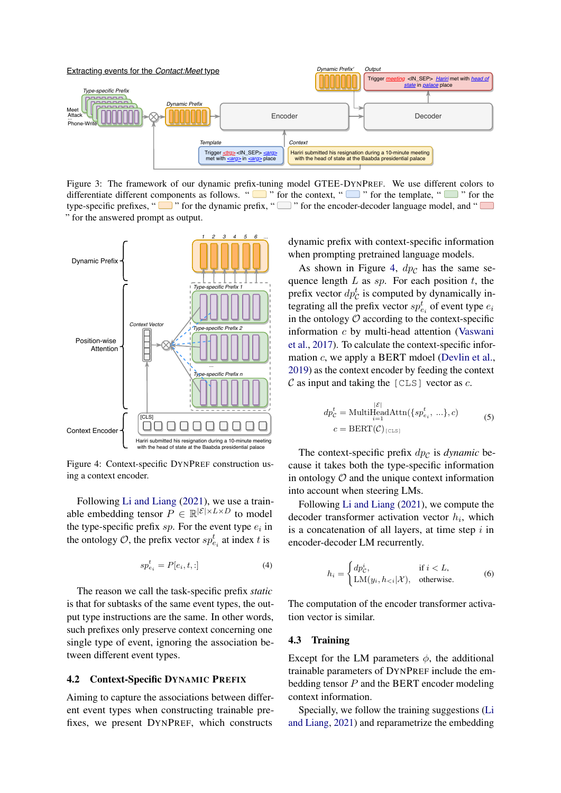

<span id="page-4-1"></span>Figure 3: The framework of our dynamic prefix-tuning model GTEE-DYNPREF. We use different colors to differentiate different components as follows. " $\Box$ " for the context, " $\Box$ " for the template, " $\Box$ " for the type-specific prefixes, " $\Box$ " for the dynamic prefix, " $\Box$ " for the encoder-decoder language model, and " $\Box$ " " for the answered prompt as output.

<span id="page-4-0"></span>

Figure 4: Context-specific DYNPREF construction using a context encoder.

Following [Li and Liang](#page-9-10) [\(2021\)](#page-9-10), we use a trainable embedding tensor  $P \in \mathbb{R}^{|\mathcal{E}| \times L \times D}$  to model the type-specific prefix  $sp$ . For the event type  $e_i$  in the ontology  $O$ , the prefix vector  $sp_{e_i}^t$  at index t is

$$
sp_{e_i}^t = P[e_i, t, :]
$$
\n<sup>(4)</sup>

The reason we call the task-specific prefix *static* is that for subtasks of the same event types, the output type instructions are the same. In other words, such prefixes only preserve context concerning one single type of event, ignoring the association between different event types.

### <span id="page-4-2"></span>4.2 Context-Specific DYNAMIC PREFIX

Aiming to capture the associations between different event types when constructing trainable prefixes, we present DYNPREF, which constructs

dynamic prefix with context-specific information when prompting pretrained language models.

As shown in Figure 4,  $dp_c$  has the same sequence length  $L$  as  $sp$ . For each position  $t$ , the prefix vector  $dp_{\mathcal{C}}^{t}$  is computed by dynamically integrating all the prefix vector  $sp_{e_i}^t$  of event type  $e_i$ in the ontology  $O$  according to the context-specific information c by multi-head attention [\(Vaswani](#page-10-15) [et al.,](#page-10-15) [2017\)](#page-10-15). To calculate the context-specific infor-mation c, we apply a BERT mdoel [\(Devlin et al.,](#page-9-15) [2019\)](#page-9-15) as the context encoder by feeding the context  $\mathcal C$  as input and taking the [CLS] vector as  $c$ .

$$
dp_c^t = \text{MultiHeadAttn}(\{sp_{e_i}^t, \ldots\}, c)
$$
  

$$
c = \text{BERT}(\mathcal{C})_{\text{[CLS]}}
$$
 (5)

The context-specific prefix  $dp<sub>C</sub>$  is *dynamic* because it takes both the type-specific information in ontology  $\mathcal O$  and the unique context information into account when steering LMs.

Following Li and Liang (2021), we compute the decoder transformer activation vector  $h_i$ , which is a concatenation of all layers, at time step  $i$  in encoder-decoder LM recurrently.

$$
h_i = \begin{cases} dp_c^i, & \text{if } i < L, \\ \text{LM}(y_i, h_{\leq i} | \mathcal{X}), & \text{otherwise.} \end{cases}
$$
 (6)

The computation of the encoder transformer activation vector is similar.

#### 4.3 Training

Except for the LM parameters  $\phi$ , the additional trainable parameters of DYNPREF include the embedding tensor  $P$  and the BERT encoder modeling context information.

Specially, we follow the training suggestions [\(Li](#page-9-10) [and Liang,](#page-9-10) [2021\)](#page-9-10) and reparametrize the embedding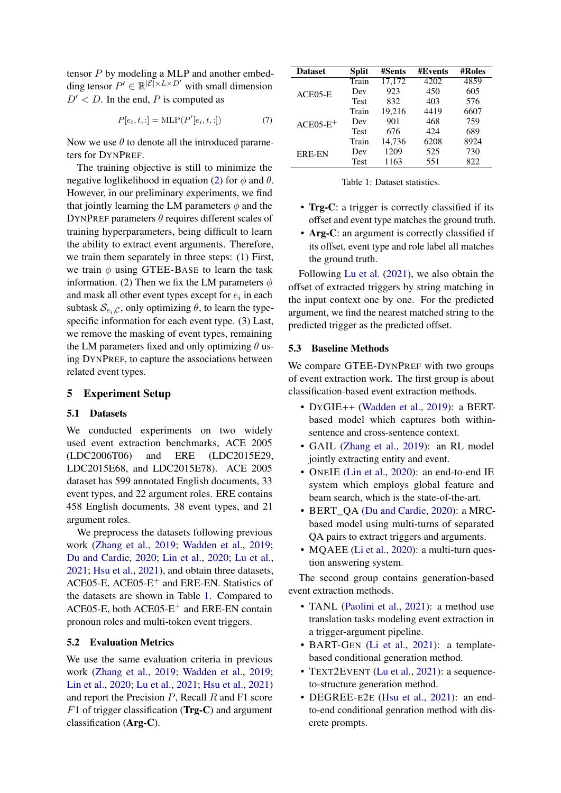tensor P by modeling a MLP and another embedding tensor  $P' \in \mathbb{R}^{|\mathcal{E}| \times L \times D'}$  with small dimension  $D' < D$ . In the end, P is computed as

$$
P[e_i, t, :] = \text{MLP}(P'[e_i, t, :])
$$
\n<sup>(7)</sup>

Now we use  $\theta$  to denote all the introduced parameters for DYNPREF.

The training objective is still to minimize the negative loglikelihood in equation [\(2\)](#page-3-0) for  $\phi$  and  $\theta$ . However, in our preliminary experiments, we find that jointly learning the LM parameters  $\phi$  and the DYNPREF parameters  $\theta$  requires different scales of training hyperparameters, being difficult to learn the ability to extract event arguments. Therefore, we train them separately in three steps: (1) First, we train  $\phi$  using GTEE-BASE to learn the task information. (2) Then we fix the LM parameters  $\phi$ and mask all other event types except for  $e_i$  in each subtask  $\mathcal{S}_{e_i,C}$ , only optimizing  $\theta$ , to learn the typespecific information for each event type. (3) Last, we remove the masking of event types, remaining the LM parameters fixed and only optimizing  $\theta$  using DYNPREF, to capture the associations between related event types.

### 5 Experiment Setup

#### 5.1 Datasets

We conducted experiments on two widely used event extraction benchmarks, ACE 2005 (LDC2006T06) and ERE (LDC2015E29, LDC2015E68, and LDC2015E78). ACE 2005 dataset has 599 annotated English documents, 33 event types, and 22 argument roles. ERE contains 458 English documents, 38 event types, and 21 argument roles.

We preprocess the datasets following previous work [\(Zhang et al.,](#page-11-5) [2019;](#page-11-5) [Wadden et al.,](#page-11-1) [2019;](#page-11-1) [Du and Cardie,](#page-9-3) [2020;](#page-9-3) [Lin et al.,](#page-9-6) [2020;](#page-9-6) [Lu et al.,](#page-10-3) [2021;](#page-10-3) [Hsu et al.,](#page-9-8) [2021\)](#page-9-8), and obtain three datasets, ACE05-E, ACE05- $E^+$  and ERE-EN. Statistics of the datasets are shown in Table [1.](#page-5-0) Compared to ACE05-E, both ACE05- $E^+$  and ERE-EN contain pronoun roles and multi-token event triggers.

### 5.2 Evaluation Metrics

We use the same evaluation criteria in previous work [\(Zhang et al.,](#page-11-5) [2019;](#page-11-5) [Wadden et al.,](#page-11-1) [2019;](#page-11-1) [Lin et al.,](#page-9-6) [2020;](#page-9-6) [Lu et al.,](#page-10-3) [2021;](#page-10-3) [Hsu et al.,](#page-9-8) [2021\)](#page-9-8) and report the Precision  $P$ , Recall  $R$  and F1 score  $F1$  of trigger classification (Trg-C) and argument classification (Arg-C).

<span id="page-5-0"></span>

| <b>Dataset</b> | <b>Split</b> | #Sents | #Events | #Roles |
|----------------|--------------|--------|---------|--------|
|                | Train        | 17,172 | 4202    | 4859   |
| $ACE05-E$      | Dev          | 923    | 450     | 605    |
|                | <b>Test</b>  | 832    | 403     | 576    |
|                | Train        | 19,216 | 4419    | 6607   |
| $ACE05-E+$     | Dev          | 901    | 468     | 759    |
|                | <b>Test</b>  | 676    | 42.4    | 689    |
|                | Train        | 14,736 | 6208    | 8924   |
| <b>ERE-EN</b>  | Dev          | 1209   | 525     | 730    |
|                | Test         | 1163   | 551     | 822    |

Table 1: Dataset statistics.

- Trg-C: a trigger is correctly classified if its offset and event type matches the ground truth.
- Arg-C: an argument is correctly classified if its offset, event type and role label all matches the ground truth.

Following [Lu et al.](#page-10-3) [\(2021\)](#page-10-3), we also obtain the offset of extracted triggers by string matching in the input context one by one. For the predicted argument, we find the nearest matched string to the predicted trigger as the predicted offset.

#### 5.3 Baseline Methods

We compare GTEE-DYNPREF with two groups of event extraction work. The first group is about classification-based event extraction methods.

- DYGIE++ [\(Wadden et al.,](#page-11-1) [2019\)](#page-11-1): a BERTbased model which captures both withinsentence and cross-sentence context.
- GAIL [\(Zhang et al.,](#page-11-5) [2019\)](#page-11-5): an RL model jointly extracting entity and event.
- ONEIE [\(Lin et al.,](#page-9-6) [2020\)](#page-9-6): an end-to-end IE system which employs global feature and beam search, which is the state-of-the-art.
- BERT OA [\(Du and Cardie,](#page-9-3) [2020\)](#page-9-3): a MRCbased model using multi-turns of separated QA pairs to extract triggers and arguments.
- MQAEE [\(Li et al.,](#page-9-4) [2020\)](#page-9-4): a multi-turn question answering system.

The second group contains generation-based event extraction methods.

- TANL [\(Paolini et al.,](#page-10-2) [2021\)](#page-10-2): a method use translation tasks modeling event extraction in a trigger-argument pipeline.
- BART-GEN [\(Li et al.,](#page-9-7) [2021\)](#page-9-7): a templatebased conditional generation method.
- TEXT2EVENT [\(Lu et al.,](#page-10-3) [2021\)](#page-10-3): a sequenceto-structure generation method.
- DEGREE-E2E [\(Hsu et al.,](#page-9-8) [2021\)](#page-9-8): an endto-end conditional genration method with discrete prompts.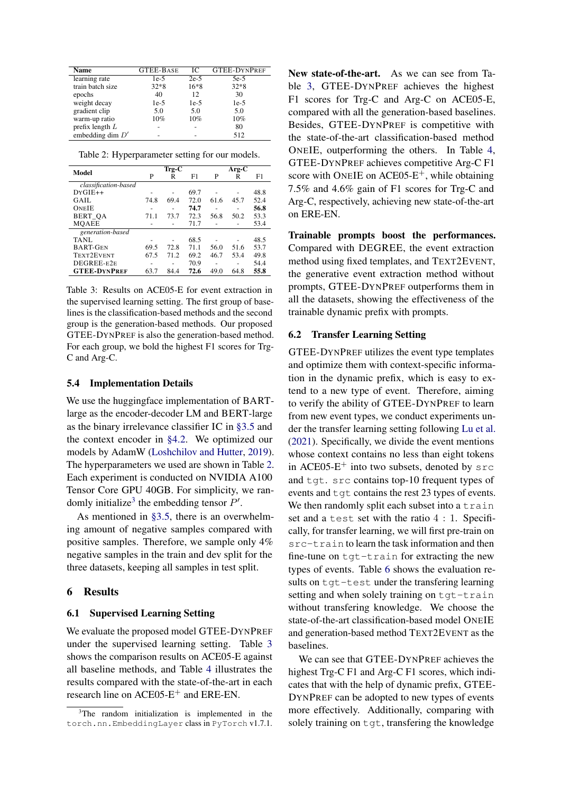<span id="page-6-0"></span>

| <b>Name</b>        | <b>GTEE-BASE</b> | ТC     | <b>GTEE-DYNPREF</b> |
|--------------------|------------------|--------|---------------------|
| learning rate      | $1e-5$           | $2e-5$ | $5e-5$              |
| train batch size   | $32*8$           | $16*8$ | $32*8$              |
| epochs             | 40               | 12     | 30                  |
| weight decay       | $1e-5$           | $1e-5$ | $1e-5$              |
| gradient clip      | 5.0              | 5.0    | 5.0                 |
| warm-up ratio      | 10%              | 10%    | 10%                 |
| prefix length $L$  |                  |        | 80                  |
| embedding dim $D'$ |                  |        | 512                 |

Table 2: Hyperparameter setting for our models.

<span id="page-6-2"></span>

| Model                |      | Trg-C |      |      | Arg-C |      |
|----------------------|------|-------|------|------|-------|------|
|                      | P    | R     | F1   | P    | R     | F1   |
| classification-based |      |       |      |      |       |      |
| $DYGIE++$            |      |       | 69.7 |      |       | 48.8 |
| GAIL                 | 74.8 | 69.4  | 72.0 | 61.6 | 45.7  | 52.4 |
| ONEIE                |      |       | 74.7 |      |       | 56.8 |
| <b>BERT OA</b>       | 71.1 | 73.7  | 72.3 | 56.8 | 50.2  | 53.3 |
| <b>MOAEE</b>         |      |       | 71.7 |      |       | 53.4 |
| generation-based     |      |       |      |      |       |      |
| TANL                 |      |       | 68.5 |      |       | 48.5 |
| <b>BART-GEN</b>      | 69.5 | 72.8  | 71.1 | 56.0 | 51.6  | 53.7 |
| TEXT2EVENT           | 67.5 | 71.2  | 69.2 | 46.7 | 53.4  | 49.8 |
| DEGREE-E2E           |      |       | 70.9 |      |       | 54.4 |
| <b>GTEE-DYNPREF</b>  | 63.7 | 84.4  | 72.6 | 49.0 | 64.8  | 55.8 |

Table 3: Results on ACE05-E for event extraction in the supervised learning setting. The first group of baselines is the classification-based methods and the second group is the generation-based methods. Our proposed GTEE-DYNPREF is also the generation-based method. For each group, we bold the highest F1 scores for Trg-C and Arg-C.

#### 5.4 Implementation Details

We use the huggingface implementation of BARTlarge as the encoder-decoder LM and BERT-large as the binary irrelevance classifier IC in [§3.5](#page-3-1) and the context encoder in [§4.2.](#page-4-2) We optimized our models by AdamW [\(Loshchilov and Hutter,](#page-10-16) [2019\)](#page-10-16). The hyperparameters we used are shown in Table [2.](#page-6-0) Each experiment is conducted on NVIDIA A100 Tensor Core GPU 40GB. For simplicity, we ran-domly initialize<sup>[3](#page-6-1)</sup> the embedding tensor  $P'$ .

As mentioned in [§3.5,](#page-3-1) there is an overwhelming amount of negative samples compared with positive samples. Therefore, we sample only 4% negative samples in the train and dev split for the three datasets, keeping all samples in test split.

### 6 Results

## 6.1 Supervised Learning Setting

We evaluate the proposed model GTEE-DYNPREF under the supervised learning setting. Table [3](#page-6-2) shows the comparison results on ACE05-E against all baseline methods, and Table [4](#page-7-0) illustrates the results compared with the state-of-the-art in each research line on  $ACE05-E^+$  and ERE-EN.

New state-of-the-art. As we can see from Table [3,](#page-6-2) GTEE-DYNPREF achieves the highest F1 scores for Trg-C and Arg-C on ACE05-E, compared with all the generation-based baselines. Besides, GTEE-DYNPREF is competitive with the state-of-the-art classification-based method ONEIE, outperforming the others. In Table [4,](#page-7-0) GTEE-DYNPREF achieves competitive Arg-C F1 score with ONEIE on ACE05- $E^+$ , while obtaining 7.5% and 4.6% gain of F1 scores for Trg-C and Arg-C, respectively, achieving new state-of-the-art on ERE-EN.

Trainable prompts boost the performances. Compared with DEGREE, the event extraction method using fixed templates, and TEXT2EVENT, the generative event extraction method without prompts, GTEE-DYNPREF outperforms them in all the datasets, showing the effectiveness of the trainable dynamic prefix with prompts.

## 6.2 Transfer Learning Setting

GTEE-DYNPREF utilizes the event type templates and optimize them with context-specific information in the dynamic prefix, which is easy to extend to a new type of event. Therefore, aiming to verify the ability of GTEE-DYNPREF to learn from new event types, we conduct experiments under the transfer learning setting following [Lu et al.](#page-10-3) [\(2021\)](#page-10-3). Specifically, we divide the event mentions whose context contains no less than eight tokens in ACE05- $E^+$  into two subsets, denoted by  $src$ and tgt. src contains top-10 frequent types of events and  $\text{\texttt{tot}}$  contains the rest 23 types of events. We then randomly split each subset into a  $train$ set and a test set with the ratio 4 : 1. Specifically, for transfer learning, we will first pre-train on src-train to learn the task information and then fine-tune on tgt-train for extracting the new types of events. Table [6](#page-7-1) shows the evaluation results on tgt-test under the transfering learning setting and when solely training on tgt-train without transfering knowledge. We choose the state-of-the-art classification-based model ONEIE and generation-based method TEXT2EVENT as the baselines.

We can see that GTEE-DYNPREF achieves the highest Trg-C F1 and Arg-C F1 scores, which indicates that with the help of dynamic prefix, GTEE-DYNPREF can be adopted to new types of events more effectively. Additionally, comparing with solely training on tgt, transfering the knowledge

<span id="page-6-1"></span><sup>&</sup>lt;sup>3</sup>The random initialization is implemented in the torch.nn.EmbeddingLayer class in PyTorch v1.7.1.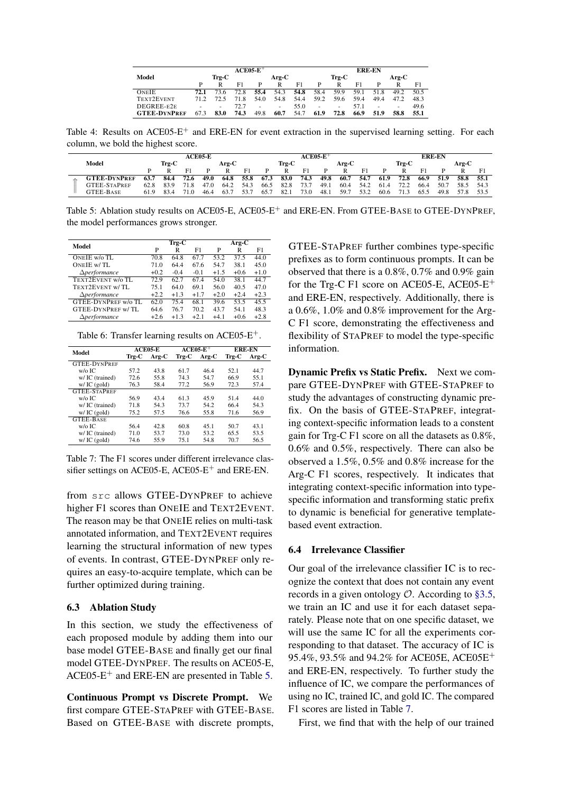<span id="page-7-0"></span>

|                     |      |       |      | $\bf ACE05\hbox{-}E^+$ |       |      |                          |       |      | <b>ERE-EN</b> |       |      |
|---------------------|------|-------|------|------------------------|-------|------|--------------------------|-------|------|---------------|-------|------|
| Model               |      | Trg-C |      |                        | Arg-C |      |                          | Trg-C |      |               | Arg-C |      |
|                     | D    | R     | F1   | P                      | R     | F1   | D                        | R     | F1   | P             | R     | F1   |
| ONEIE               | 72.1 | 73.6  | 72.8 | 55.4                   | 54.3  | 54.8 | 58.4                     | 59.9  | 59.1 | 51.8          | 49.2  | 50.5 |
| TEXT2EVENT          | 71 2 | 72.5  | 71.8 | 54.0                   | 54.8  | 54.4 | 59.2                     | 59.6  | 59.4 | 49.4          | 47.2  | 48.3 |
| DEGREE-E2E          |      |       | 72.7 | -                      | ٠     | 55.0 | $\overline{\phantom{a}}$ | ۰     | 57.1 |               | ٠     | 49.6 |
| <b>GTEE-DYNPREF</b> | 67.3 | 83.0  | 74.3 | 49.8                   | 60.7  | 54.7 | 61.9                     | 72.8  | 66.9 | 51.9          | 58.8  | 55.1 |

Table 4: Results on ACE05-E<sup>+</sup> and ERE-EN for event extraction in the supervised learning setting. For each column, we bold the highest score.

<span id="page-7-2"></span>

| $ACE05-E$           |      |       |      |      | $ACE05-E^+$ |      |      |       |      | <b>ERE-EN</b> |       |      |      |       |      |      |       |      |
|---------------------|------|-------|------|------|-------------|------|------|-------|------|---------------|-------|------|------|-------|------|------|-------|------|
| Model               |      | Tre-C |      |      | Arg-C       |      |      | Tre-C |      |               | Arg-C |      |      | Tre-C |      |      | Arg-C |      |
|                     |      |       | E1   |      | R           | E1   |      |       | E1   |               |       | E1   | D    |       | E1   | D    |       | E1   |
| <b>GTEE-DYNPREF</b> | 63.7 | 84.4  | 72.6 | 49.0 | 64.8        | 55.8 | 67.3 | 83.0  | 74.3 | 49.8          | 60.7  | 54.7 | 61.9 | 72.8  | 66.9 | 51.9 | 58.8  | 55.1 |
| <b>GTEE-STAPREF</b> | 62.8 | 83.9  |      | 47.0 | 64.2        | 54.3 | 66.5 | 82.8  | 73.7 | 49.1          | 60.4  | 54.2 | 61.4 |       | 66.4 | 50.7 |       | 54.3 |
| <b>GTEE-BASE</b>    | 61.9 | 83.4  |      | 46.4 | 63.7        |      | 65.  | 82.   | 73.0 | 48.           | 59.7  | 53.2 | 60.6 |       | 65.5 | 49.8 |       | 53.5 |

Table 5: Ablation study results on ACE05-E, ACE05-E<sup>+</sup> and ERE-EN. From GTEE-BASE to GTEE-DYNPREF, the model performances grows stronger.

<span id="page-7-1"></span>

| Model                      |        | Trg-C  |        |        | Arg-C  |        |
|----------------------------|--------|--------|--------|--------|--------|--------|
|                            | P      | R      | F1     | P      | R      | F1     |
| <b>ONEIE W/o TL</b>        | 70.8   | 64.8   | 67.7   | 53.2   | 37.5   | 44.0   |
| ONEIE w/TL                 | 71.0   | 64.4   | 67.6   | 54.7   | 38.1   | 45.0   |
| $\Delta$ performance       | $+0.2$ | $-0.4$ | $-0.1$ | $+1.5$ | $+0.6$ | $+1.0$ |
| TEXT2EVENT w/o TL          | 72.9   | 62.7   | 67.4   | 54.0   | 38.1   | 44.7   |
| TEXT2EVENT W/TL            | 75.1   | 64.0   | 69.1   | 56.0   | 40.5   | 47.0   |
| $\Delta$ performance       | $+2.2$ | $+1.3$ | $+1.7$ | $+2.0$ | $+2.4$ | $+2.3$ |
| <b>GTEE-DYNPREF W/o TL</b> | 62.0   | 75.4   | 68.1   | 39.6   | 53.5   | 45.5   |
| <b>GTEE-DYNPREF w/TL</b>   | 64.6   | 76.7   | 70.2   | 43.7   | 54.1   | 48.3   |
| $\Delta$ performance       | $+2.6$ | $+1.3$ | $+2.1$ | $+4.1$ | $+0.6$ | $+2.8$ |

Table 6: Transfer learning results on  $ACE05-E^+$ .

<span id="page-7-3"></span>

| Model               |       | ACE05 E |       | $ACE05$ -E <sup>+</sup> |       | ERE EN |
|---------------------|-------|---------|-------|-------------------------|-------|--------|
|                     | Tre-C | Arg C   | Trg-C | Arg-C                   | Tre-C | Arg-C  |
| <b>GTEE-DYNPREF</b> |       |         |       |                         |       |        |
| $w$ /o IC           | 57.2  | 43.8    | 61.7  | 46.4                    | 52.1  | 44.7   |
| w/IC (trained)      | 72.6  | 55.8    | 74.3  | 54.7                    | 66.9  | 55.1   |
| $w/IC$ (gold)       | 76.3  | 58.4    | 77.2  | 56.9                    | 72.3  | 57.4   |
| <b>GTEE-STAPREF</b> |       |         |       |                         |       |        |
| $w$ /o IC           | 56.9  | 43.4    | 61.3  | 45.9                    | 51.4  | 44.0   |
| w/IC (trained)      | 71.8  | 54.3    | 73.7  | 54.2                    | 66.4  | 54.3   |
| $w/IC$ (gold)       | 75.2  | 57.5    | 76.6  | 55.8                    | 71.6  | 56.9   |
| <b>GTEE-BASE</b>    |       |         |       |                         |       |        |
| $w$ /o IC           | 56.4  | 42.8    | 60.8  | 45.1                    | 50.7  | 43.1   |
| w/IC (trained)      | 71.0  | 53.7    | 73.0  | 53.2                    | 65.5  | 53.5   |
| $w/IC$ (gold)       | 74.6  | 55.9    | 75.1  | 54.8                    | 70.7  | 56.5   |

Table 7: The F1 scores under different irrelevance classifier settings on ACE05-E, ACE05- $E^+$  and ERE-EN.

from src allows GTEE-DYNPREF to achieve higher F1 scores than ONEIE and TEXT2EVENT. The reason may be that ONEIE relies on multi-task annotated information, and TEXT2EVENT requires learning the structural information of new types of events. In contrast, GTEE-DYNPREF only requires an easy-to-acquire template, which can be further optimized during training.

#### 6.3 Ablation Study

In this section, we study the effectiveness of each proposed module by adding them into our base model GTEE-BASE and finally get our final model GTEE-DYNPREF. The results on ACE05-E,  $ACE05-E^+$  and ERE-EN are presented in Table [5.](#page-7-2)

Continuous Prompt vs Discrete Prompt. We first compare GTEE-STAPREF with GTEE-BASE. Based on GTEE-BASE with discrete prompts,

GTEE-STAPREF further combines type-specific prefixes as to form continuous prompts. It can be observed that there is a 0.8%, 0.7% and 0.9% gain for the Trg-C F1 score on ACE05-E, ACE05-E<sup>+</sup> and ERE-EN, respectively. Additionally, there is a 0.6%, 1.0% and 0.8% improvement for the Arg-C F1 score, demonstrating the effectiveness and flexibility of STAPREF to model the type-specific information.

Dynamic Prefix vs Static Prefix. Next we compare GTEE-DYNPREF with GTEE-STAPREF to study the advantages of constructing dynamic prefix. On the basis of GTEE-STAPREF, integrating context-specific information leads to a constent gain for Trg-C F1 score on all the datasets as 0.8%, 0.6% and 0.5%, respectively. There can also be observed a 1.5%, 0.5% and 0.8% increase for the Arg-C F1 scores, respectively. It indicates that integrating context-specific information into typespecific information and transforming static prefix to dynamic is beneficial for generative templatebased event extraction.

## 6.4 Irrelevance Classifier

Our goal of the irrelevance classifier IC is to recognize the context that does not contain any event records in a given ontology  $\mathcal{O}$ . According to [§3.5,](#page-3-1) we train an IC and use it for each dataset separately. Please note that on one specific dataset, we will use the same IC for all the experiments corresponding to that dataset. The accuracy of IC is 95.4%, 93.5% and 94.2% for ACE05E, ACE05E<sup>+</sup> and ERE-EN, respectively. To further study the influence of IC, we compare the performances of using no IC, trained IC, and gold IC. The compared F1 scores are listed in Table [7.](#page-7-3)

First, we find that with the help of our trained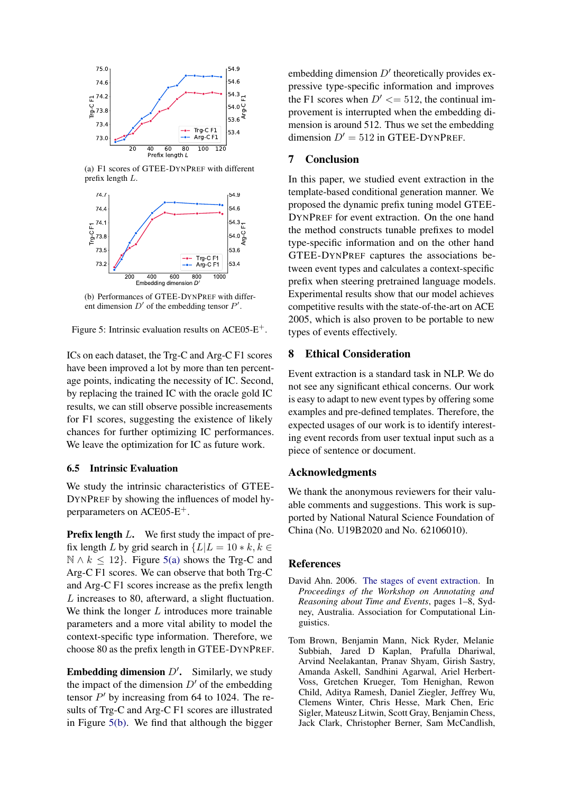<span id="page-8-2"></span>

(a) F1 scores of GTEE-DYNPREF with different prefix length L.



<span id="page-8-3"></span>(b) Performances of GTEE-DYNPREF with different dimension  $D'$  of the embedding tensor  $P'$ .

Figure 5: Intrinsic evaluation results on ACE05-E<sup>+</sup>.

ICs on each dataset, the Trg-C and Arg-C F1 scores have been improved a lot by more than ten percentage points, indicating the necessity of IC. Second, by replacing the trained IC with the oracle gold IC results, we can still observe possible increasements for F1 scores, suggesting the existence of likely chances for further optimizing IC performances. We leave the optimization for IC as future work.

## 6.5 Intrinsic Evaluation

We study the intrinsic characteristics of GTEE-DYNPREF by showing the influences of model hyperparameters on ACE05-E+.

**Prefix length L.** We first study the impact of prefix length L by grid search in  $\{L|L = 10 * k, k \in \mathbb{R}\}$  $\mathbb{N} \wedge k \leq 12$ . Figure [5\(a\)](#page-8-2) shows the Trg-C and Arg-C F1 scores. We can observe that both Trg-C and Arg-C F1 scores increase as the prefix length L increases to 80, afterward, a slight fluctuation. We think the longer  $L$  introduces more trainable parameters and a more vital ability to model the context-specific type information. Therefore, we choose 80 as the prefix length in GTEE-DYNPREF.

**Embedding dimension**  $D'$ **.** Similarly, we study the impact of the dimension  $D'$  of the embedding tensor  $P'$  by increasing from 64 to 1024. The results of Trg-C and Arg-C F1 scores are illustrated in Figure [5\(b\).](#page-8-3) We find that although the bigger

embedding dimension  $D'$  theoretically provides expressive type-specific information and improves the F1 scores when  $D' \le 512$ , the continual improvement is interrupted when the embedding dimension is around 512. Thus we set the embedding dimension  $D' = 512$  in GTEE-DYNPREF.

## 7 Conclusion

In this paper, we studied event extraction in the template-based conditional generation manner. We proposed the dynamic prefix tuning model GTEE-DYNPREF for event extraction. On the one hand the method constructs tunable prefixes to model type-specific information and on the other hand GTEE-DYNPREF captures the associations between event types and calculates a context-specific prefix when steering pretrained language models. Experimental results show that our model achieves competitive results with the state-of-the-art on ACE 2005, which is also proven to be portable to new types of events effectively.

# 8 Ethical Consideration

Event extraction is a standard task in NLP. We do not see any significant ethical concerns. Our work is easy to adapt to new event types by offering some examples and pre-defined templates. Therefore, the expected usages of our work is to identify interesting event records from user textual input such as a piece of sentence or document.

## Acknowledgments

We thank the anonymous reviewers for their valuable comments and suggestions. This work is supported by National Natural Science Foundation of China (No. U19B2020 and No. 62106010).

### References

- <span id="page-8-0"></span>David Ahn. 2006. [The stages of event extraction.](https://aclanthology.org/W06-0901) In *Proceedings of the Workshop on Annotating and Reasoning about Time and Events*, pages 1–8, Sydney, Australia. Association for Computational Linguistics.
- <span id="page-8-1"></span>Tom Brown, Benjamin Mann, Nick Ryder, Melanie Subbiah, Jared D Kaplan, Prafulla Dhariwal, Arvind Neelakantan, Pranav Shyam, Girish Sastry, Amanda Askell, Sandhini Agarwal, Ariel Herbert-Voss, Gretchen Krueger, Tom Henighan, Rewon Child, Aditya Ramesh, Daniel Ziegler, Jeffrey Wu, Clemens Winter, Chris Hesse, Mark Chen, Eric Sigler, Mateusz Litwin, Scott Gray, Benjamin Chess, Jack Clark, Christopher Berner, Sam McCandlish,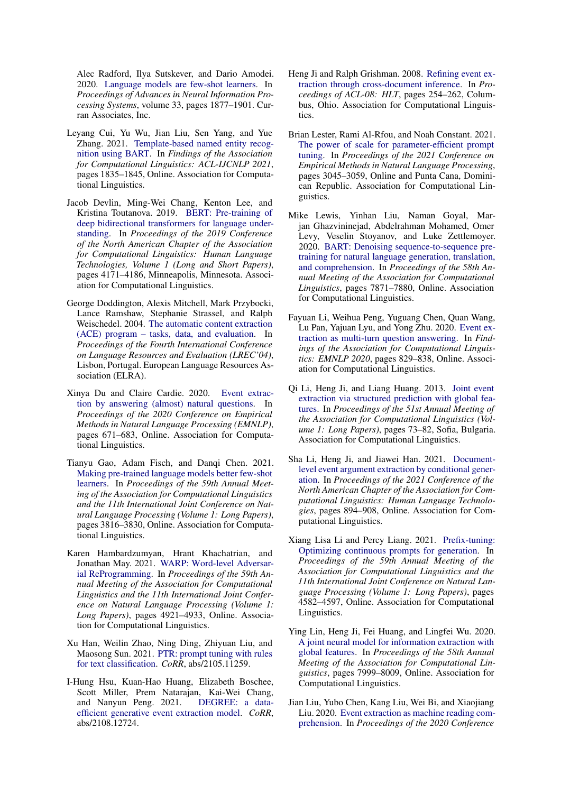Alec Radford, Ilya Sutskever, and Dario Amodei. 2020. [Language models are few-shot learners.](https://proceedings.neurips.cc/paper/2020/file/1457c0d6bfcb4967418bfb8ac142f64a-Paper.pdf) In *Proceedings of Advances in Neural Information Processing Systems*, volume 33, pages 1877–1901. Curran Associates, Inc.

- <span id="page-9-16"></span>Leyang Cui, Yu Wu, Jian Liu, Sen Yang, and Yue Zhang. 2021. [Template-based named entity recog](https://doi.org/10.18653/v1/2021.findings-acl.161)[nition using BART.](https://doi.org/10.18653/v1/2021.findings-acl.161) In *Findings of the Association for Computational Linguistics: ACL-IJCNLP 2021*, pages 1835–1845, Online. Association for Computational Linguistics.
- <span id="page-9-15"></span>Jacob Devlin, Ming-Wei Chang, Kenton Lee, and Kristina Toutanova. 2019. [BERT: Pre-training of](https://doi.org/10.18653/v1/N19-1423) [deep bidirectional transformers for language under](https://doi.org/10.18653/v1/N19-1423)[standing.](https://doi.org/10.18653/v1/N19-1423) In *Proceedings of the 2019 Conference of the North American Chapter of the Association for Computational Linguistics: Human Language Technologies, Volume 1 (Long and Short Papers)*, pages 4171–4186, Minneapolis, Minnesota. Association for Computational Linguistics.
- <span id="page-9-0"></span>George Doddington, Alexis Mitchell, Mark Przybocki, Lance Ramshaw, Stephanie Strassel, and Ralph Weischedel. 2004. [The automatic content extraction](http://www.lrec-conf.org/proceedings/lrec2004/pdf/5.pdf) [\(ACE\) program – tasks, data, and evaluation.](http://www.lrec-conf.org/proceedings/lrec2004/pdf/5.pdf) In *Proceedings of the Fourth International Conference on Language Resources and Evaluation (LREC'04)*, Lisbon, Portugal. European Language Resources Association (ELRA).
- <span id="page-9-3"></span>Xinya Du and Claire Cardie. 2020. [Event extrac](https://doi.org/10.18653/v1/2020.emnlp-main.49)[tion by answering \(almost\) natural questions.](https://doi.org/10.18653/v1/2020.emnlp-main.49) In *Proceedings of the 2020 Conference on Empirical Methods in Natural Language Processing (EMNLP)*, pages 671–683, Online. Association for Computational Linguistics.
- <span id="page-9-11"></span>Tianyu Gao, Adam Fisch, and Danqi Chen. 2021. [Making pre-trained language models better few-shot](https://doi.org/10.18653/v1/2021.acl-long.295) [learners.](https://doi.org/10.18653/v1/2021.acl-long.295) In *Proceedings of the 59th Annual Meeting of the Association for Computational Linguistics and the 11th International Joint Conference on Natural Language Processing (Volume 1: Long Papers)*, pages 3816–3830, Online. Association for Computational Linguistics.
- <span id="page-9-13"></span>Karen Hambardzumyan, Hrant Khachatrian, and Jonathan May. 2021. [WARP: Word-level Adversar](https://doi.org/10.18653/v1/2021.acl-long.381)[ial ReProgramming.](https://doi.org/10.18653/v1/2021.acl-long.381) In *Proceedings of the 59th Annual Meeting of the Association for Computational Linguistics and the 11th International Joint Conference on Natural Language Processing (Volume 1: Long Papers)*, pages 4921–4933, Online. Association for Computational Linguistics.
- <span id="page-9-14"></span>Xu Han, Weilin Zhao, Ning Ding, Zhiyuan Liu, and Maosong Sun. 2021. [PTR: prompt tuning with rules](http://arxiv.org/abs/2105.11259) [for text classification.](http://arxiv.org/abs/2105.11259) *CoRR*, abs/2105.11259.
- <span id="page-9-8"></span>I-Hung Hsu, Kuan-Hao Huang, Elizabeth Boschee, Scott Miller, Prem Natarajan, Kai-Wei Chang, and Nanyun Peng. 2021. [DEGREE: a data](http://arxiv.org/abs/2108.12724)[efficient generative event extraction model.](http://arxiv.org/abs/2108.12724) *CoRR*, abs/2108.12724.
- <span id="page-9-1"></span>Heng Ji and Ralph Grishman. 2008. [Refining event ex](https://aclanthology.org/P08-1030)[traction through cross-document inference.](https://aclanthology.org/P08-1030) In *Proceedings of ACL-08: HLT*, pages 254–262, Columbus, Ohio. Association for Computational Linguistics.
- <span id="page-9-12"></span>Brian Lester, Rami Al-Rfou, and Noah Constant. 2021. [The power of scale for parameter-efficient prompt](https://aclanthology.org/2021.emnlp-main.243) [tuning.](https://aclanthology.org/2021.emnlp-main.243) In *Proceedings of the 2021 Conference on Empirical Methods in Natural Language Processing*, pages 3045–3059, Online and Punta Cana, Dominican Republic. Association for Computational Linguistics.
- <span id="page-9-9"></span>Mike Lewis, Yinhan Liu, Naman Goyal, Marjan Ghazvininejad, Abdelrahman Mohamed, Omer Levy, Veselin Stoyanov, and Luke Zettlemoyer. 2020. [BART: Denoising sequence-to-sequence pre](https://doi.org/10.18653/v1/2020.acl-main.703)[training for natural language generation, translation,](https://doi.org/10.18653/v1/2020.acl-main.703) [and comprehension.](https://doi.org/10.18653/v1/2020.acl-main.703) In *Proceedings of the 58th Annual Meeting of the Association for Computational Linguistics*, pages 7871–7880, Online. Association for Computational Linguistics.
- <span id="page-9-4"></span>Fayuan Li, Weihua Peng, Yuguang Chen, Quan Wang, Lu Pan, Yajuan Lyu, and Yong Zhu. 2020. [Event ex](https://doi.org/10.18653/v1/2020.findings-emnlp.73)[traction as multi-turn question answering.](https://doi.org/10.18653/v1/2020.findings-emnlp.73) In *Findings of the Association for Computational Linguistics: EMNLP 2020*, pages 829–838, Online. Association for Computational Linguistics.
- <span id="page-9-5"></span>Qi Li, Heng Ji, and Liang Huang. 2013. [Joint event](https://aclanthology.org/P13-1008) [extraction via structured prediction with global fea](https://aclanthology.org/P13-1008)[tures.](https://aclanthology.org/P13-1008) In *Proceedings of the 51st Annual Meeting of the Association for Computational Linguistics (Volume 1: Long Papers)*, pages 73–82, Sofia, Bulgaria. Association for Computational Linguistics.
- <span id="page-9-7"></span>Sha Li, Heng Ji, and Jiawei Han. 2021. [Document](https://doi.org/10.18653/v1/2021.naacl-main.69)[level event argument extraction by conditional gener](https://doi.org/10.18653/v1/2021.naacl-main.69)[ation.](https://doi.org/10.18653/v1/2021.naacl-main.69) In *Proceedings of the 2021 Conference of the North American Chapter of the Association for Computational Linguistics: Human Language Technologies*, pages 894–908, Online. Association for Computational Linguistics.
- <span id="page-9-10"></span>Xiang Lisa Li and Percy Liang. 2021. [Prefix-tuning:](https://doi.org/10.18653/v1/2021.acl-long.353) [Optimizing continuous prompts for generation.](https://doi.org/10.18653/v1/2021.acl-long.353) In *Proceedings of the 59th Annual Meeting of the Association for Computational Linguistics and the 11th International Joint Conference on Natural Language Processing (Volume 1: Long Papers)*, pages 4582–4597, Online. Association for Computational Linguistics.
- <span id="page-9-6"></span>Ying Lin, Heng Ji, Fei Huang, and Lingfei Wu. 2020. [A joint neural model for information extraction with](https://doi.org/10.18653/v1/2020.acl-main.713) [global features.](https://doi.org/10.18653/v1/2020.acl-main.713) In *Proceedings of the 58th Annual Meeting of the Association for Computational Linguistics*, pages 7999–8009, Online. Association for Computational Linguistics.
- <span id="page-9-2"></span>Jian Liu, Yubo Chen, Kang Liu, Wei Bi, and Xiaojiang Liu. 2020. [Event extraction as machine reading com](https://doi.org/10.18653/v1/2020.emnlp-main.128)[prehension.](https://doi.org/10.18653/v1/2020.emnlp-main.128) In *Proceedings of the 2020 Conference*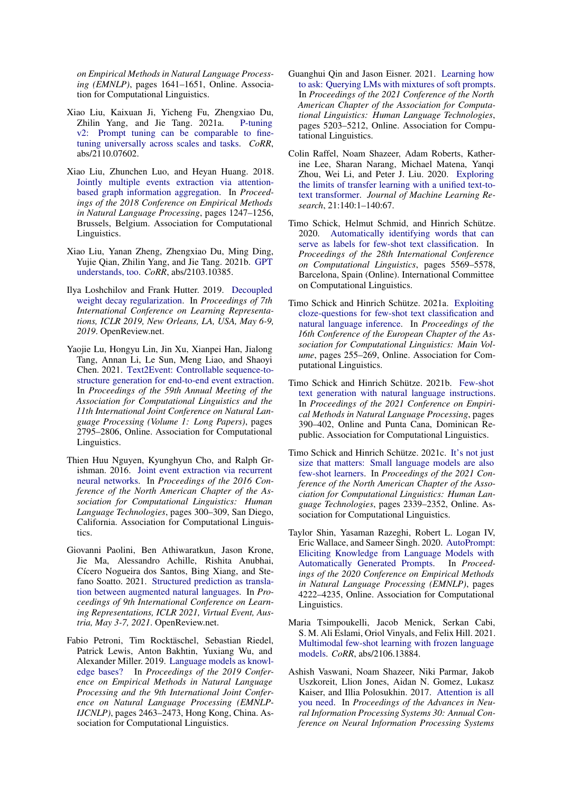*on Empirical Methods in Natural Language Processing (EMNLP)*, pages 1641–1651, Online. Association for Computational Linguistics.

- <span id="page-10-13"></span>Xiao Liu, Kaixuan Ji, Yicheng Fu, Zhengxiao Du, Zhilin Yang, and Jie Tang. 2021a. [P-tuning](http://arxiv.org/abs/2110.07602) [v2: Prompt tuning can be comparable to fine](http://arxiv.org/abs/2110.07602)[tuning universally across scales and tasks.](http://arxiv.org/abs/2110.07602) *CoRR*, abs/2110.07602.
- <span id="page-10-1"></span>Xiao Liu, Zhunchen Luo, and Heyan Huang. 2018. [Jointly multiple events extraction via attention](https://doi.org/10.18653/v1/D18-1156)[based graph information aggregation.](https://doi.org/10.18653/v1/D18-1156) In *Proceedings of the 2018 Conference on Empirical Methods in Natural Language Processing*, pages 1247–1256, Brussels, Belgium. Association for Computational Linguistics.
- <span id="page-10-12"></span>Xiao Liu, Yanan Zheng, Zhengxiao Du, Ming Ding, Yujie Qian, Zhilin Yang, and Jie Tang. 2021b. [GPT](http://arxiv.org/abs/2103.10385) [understands, too.](http://arxiv.org/abs/2103.10385) *CoRR*, abs/2103.10385.
- <span id="page-10-16"></span>Ilya Loshchilov and Frank Hutter. 2019. [Decoupled](https://openreview.net/forum?id=Bkg6RiCqY7) [weight decay regularization.](https://openreview.net/forum?id=Bkg6RiCqY7) In *Proceedings of 7th International Conference on Learning Representations, ICLR 2019, New Orleans, LA, USA, May 6-9, 2019*. OpenReview.net.
- <span id="page-10-3"></span>Yaojie Lu, Hongyu Lin, Jin Xu, Xianpei Han, Jialong Tang, Annan Li, Le Sun, Meng Liao, and Shaoyi Chen. 2021. [Text2Event: Controllable sequence-to](https://doi.org/10.18653/v1/2021.acl-long.217)[structure generation for end-to-end event extraction.](https://doi.org/10.18653/v1/2021.acl-long.217) In *Proceedings of the 59th Annual Meeting of the Association for Computational Linguistics and the 11th International Joint Conference on Natural Language Processing (Volume 1: Long Papers)*, pages 2795–2806, Online. Association for Computational Linguistics.
- <span id="page-10-0"></span>Thien Huu Nguyen, Kyunghyun Cho, and Ralph Grishman. 2016. [Joint event extraction via recurrent](https://doi.org/10.18653/v1/N16-1034) [neural networks.](https://doi.org/10.18653/v1/N16-1034) In *Proceedings of the 2016 Conference of the North American Chapter of the Association for Computational Linguistics: Human Language Technologies*, pages 300–309, San Diego, California. Association for Computational Linguistics.
- <span id="page-10-2"></span>Giovanni Paolini, Ben Athiwaratkun, Jason Krone, Jie Ma, Alessandro Achille, Rishita Anubhai, Cícero Nogueira dos Santos, Bing Xiang, and Stefano Soatto. 2021. [Structured prediction as transla](https://openreview.net/forum?id=US-TP-xnXI)[tion between augmented natural languages.](https://openreview.net/forum?id=US-TP-xnXI) In *Proceedings of 9th International Conference on Learning Representations, ICLR 2021, Virtual Event, Austria, May 3-7, 2021*. OpenReview.net.
- <span id="page-10-4"></span>Fabio Petroni, Tim Rocktäschel, Sebastian Riedel, Patrick Lewis, Anton Bakhtin, Yuxiang Wu, and Alexander Miller. 2019. [Language models as knowl](https://doi.org/10.18653/v1/D19-1250)[edge bases?](https://doi.org/10.18653/v1/D19-1250) In *Proceedings of the 2019 Conference on Empirical Methods in Natural Language Processing and the 9th International Joint Conference on Natural Language Processing (EMNLP-IJCNLP)*, pages 2463–2473, Hong Kong, China. Association for Computational Linguistics.
- <span id="page-10-11"></span>Guanghui Qin and Jason Eisner. 2021. [Learning how](https://doi.org/10.18653/v1/2021.naacl-main.410) [to ask: Querying LMs with mixtures of soft prompts.](https://doi.org/10.18653/v1/2021.naacl-main.410) In *Proceedings of the 2021 Conference of the North American Chapter of the Association for Computational Linguistics: Human Language Technologies*, pages 5203–5212, Online. Association for Computational Linguistics.
- <span id="page-10-14"></span>Colin Raffel, Noam Shazeer, Adam Roberts, Katherine Lee, Sharan Narang, Michael Matena, Yanqi Zhou, Wei Li, and Peter J. Liu. 2020. [Exploring](http://jmlr.org/papers/v21/20-074.html) [the limits of transfer learning with a unified text-to](http://jmlr.org/papers/v21/20-074.html)[text transformer.](http://jmlr.org/papers/v21/20-074.html) *Journal of Machine Learning Research*, 21:140:1–140:67.
- <span id="page-10-6"></span>Timo Schick, Helmut Schmid, and Hinrich Schütze. 2020. [Automatically identifying words that can](https://doi.org/10.18653/v1/2020.coling-main.488) [serve as labels for few-shot text classification.](https://doi.org/10.18653/v1/2020.coling-main.488) In *Proceedings of the 28th International Conference on Computational Linguistics*, pages 5569–5578, Barcelona, Spain (Online). International Committee on Computational Linguistics.
- <span id="page-10-8"></span>Timo Schick and Hinrich Schütze. 2021a. [Exploiting](https://doi.org/10.18653/v1/2021.eacl-main.20) [cloze-questions for few-shot text classification and](https://doi.org/10.18653/v1/2021.eacl-main.20) [natural language inference.](https://doi.org/10.18653/v1/2021.eacl-main.20) In *Proceedings of the 16th Conference of the European Chapter of the Association for Computational Linguistics: Main Volume*, pages 255–269, Online. Association for Computational Linguistics.
- <span id="page-10-7"></span>Timo Schick and Hinrich Schütze. 2021b. [Few-shot](https://aclanthology.org/2021.emnlp-main.32) [text generation with natural language instructions.](https://aclanthology.org/2021.emnlp-main.32) In *Proceedings of the 2021 Conference on Empirical Methods in Natural Language Processing*, pages 390–402, Online and Punta Cana, Dominican Republic. Association for Computational Linguistics.
- <span id="page-10-9"></span>Timo Schick and Hinrich Schütze. 2021c. [It's not just](https://doi.org/10.18653/v1/2021.naacl-main.185) [size that matters: Small language models are also](https://doi.org/10.18653/v1/2021.naacl-main.185) [few-shot learners.](https://doi.org/10.18653/v1/2021.naacl-main.185) In *Proceedings of the 2021 Conference of the North American Chapter of the Association for Computational Linguistics: Human Language Technologies*, pages 2339–2352, Online. Association for Computational Linguistics.
- <span id="page-10-5"></span>Taylor Shin, Yasaman Razeghi, Robert L. Logan IV, Eric Wallace, and Sameer Singh. 2020. [AutoPrompt:](https://doi.org/10.18653/v1/2020.emnlp-main.346) [Eliciting Knowledge from Language Models with](https://doi.org/10.18653/v1/2020.emnlp-main.346) [Automatically Generated Prompts.](https://doi.org/10.18653/v1/2020.emnlp-main.346) In *Proceedings of the 2020 Conference on Empirical Methods in Natural Language Processing (EMNLP)*, pages 4222–4235, Online. Association for Computational Linguistics.
- <span id="page-10-10"></span>Maria Tsimpoukelli, Jacob Menick, Serkan Cabi, S. M. Ali Eslami, Oriol Vinyals, and Felix Hill. 2021. [Multimodal few-shot learning with frozen language](http://arxiv.org/abs/2106.13884) [models.](http://arxiv.org/abs/2106.13884) *CoRR*, abs/2106.13884.
- <span id="page-10-15"></span>Ashish Vaswani, Noam Shazeer, Niki Parmar, Jakob Uszkoreit, Llion Jones, Aidan N. Gomez, Lukasz Kaiser, and Illia Polosukhin. 2017. [Attention is all](https://proceedings.neurips.cc/paper/2017/hash/3f5ee243547dee91fbd053c1c4a845aa-Abstract.html) [you need.](https://proceedings.neurips.cc/paper/2017/hash/3f5ee243547dee91fbd053c1c4a845aa-Abstract.html) In *Proceedings of the Advances in Neural Information Processing Systems 30: Annual Conference on Neural Information Processing Systems*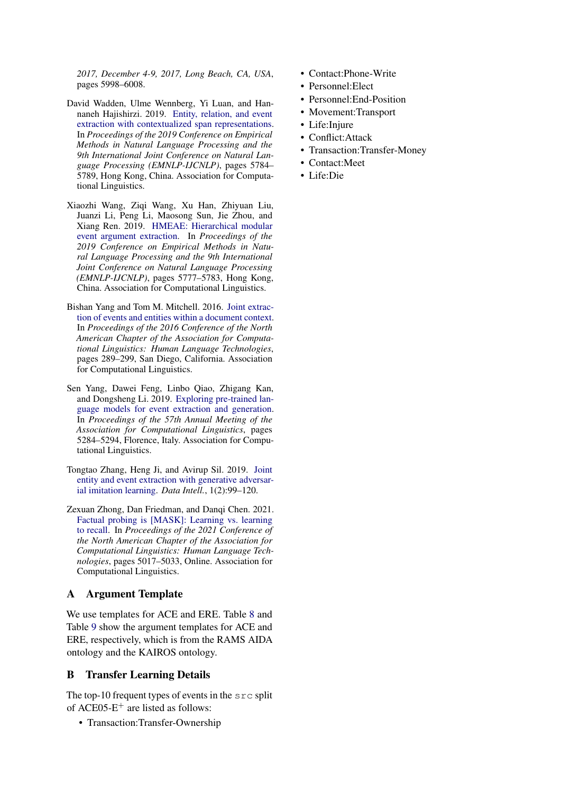*2017, December 4-9, 2017, Long Beach, CA, USA*, pages 5998–6008.

- <span id="page-11-1"></span>David Wadden, Ulme Wennberg, Yi Luan, and Hannaneh Hajishirzi. 2019. [Entity, relation, and event](https://doi.org/10.18653/v1/D19-1585) [extraction with contextualized span representations.](https://doi.org/10.18653/v1/D19-1585) In *Proceedings of the 2019 Conference on Empirical Methods in Natural Language Processing and the 9th International Joint Conference on Natural Language Processing (EMNLP-IJCNLP)*, pages 5784– 5789, Hong Kong, China. Association for Computational Linguistics.
- <span id="page-11-2"></span>Xiaozhi Wang, Ziqi Wang, Xu Han, Zhiyuan Liu, Juanzi Li, Peng Li, Maosong Sun, Jie Zhou, and Xiang Ren. 2019. [HMEAE: Hierarchical modular](https://doi.org/10.18653/v1/D19-1584) [event argument extraction.](https://doi.org/10.18653/v1/D19-1584) In *Proceedings of the 2019 Conference on Empirical Methods in Natural Language Processing and the 9th International Joint Conference on Natural Language Processing (EMNLP-IJCNLP)*, pages 5777–5783, Hong Kong, China. Association for Computational Linguistics.
- <span id="page-11-0"></span>Bishan Yang and Tom M. Mitchell. 2016. [Joint extrac](https://doi.org/10.18653/v1/N16-1033)[tion of events and entities within a document context.](https://doi.org/10.18653/v1/N16-1033) In *Proceedings of the 2016 Conference of the North American Chapter of the Association for Computational Linguistics: Human Language Technologies*, pages 289–299, San Diego, California. Association for Computational Linguistics.
- <span id="page-11-3"></span>Sen Yang, Dawei Feng, Linbo Qiao, Zhigang Kan, and Dongsheng Li. 2019. [Exploring pre-trained lan](https://doi.org/10.18653/v1/P19-1522)[guage models for event extraction and generation.](https://doi.org/10.18653/v1/P19-1522) In *Proceedings of the 57th Annual Meeting of the Association for Computational Linguistics*, pages 5284–5294, Florence, Italy. Association for Computational Linguistics.
- <span id="page-11-5"></span>Tongtao Zhang, Heng Ji, and Avirup Sil. 2019. [Joint](https://doi.org/10.1162/dint_a_00014) [entity and event extraction with generative adversar](https://doi.org/10.1162/dint_a_00014)[ial imitation learning.](https://doi.org/10.1162/dint_a_00014) *Data Intell.*, 1(2):99–120.
- <span id="page-11-4"></span>Zexuan Zhong, Dan Friedman, and Danqi Chen. 2021. [Factual probing is \[MASK\]: Learning vs. learning](https://doi.org/10.18653/v1/2021.naacl-main.398) [to recall.](https://doi.org/10.18653/v1/2021.naacl-main.398) In *Proceedings of the 2021 Conference of the North American Chapter of the Association for Computational Linguistics: Human Language Technologies*, pages 5017–5033, Online. Association for Computational Linguistics.

# A Argument Template

We use templates for ACE and ERE. Table [8](#page-12-0) and Table [9](#page-12-1) show the argument templates for ACE and ERE, respectively, which is from the RAMS AIDA ontology and the KAIROS ontology.

## B Transfer Learning Details

The top-10 frequent types of events in the src split of ACE05- $E^+$  are listed as follows:

• Transaction:Transfer-Ownership

- Contact:Phone-Write
- Personnel:Elect
- Personnel:End-Position
- Movement:Transport
- Life:Injure
- Conflict:Attack
- Transaction:Transfer-Money
- Contact:Meet
- Life:Die